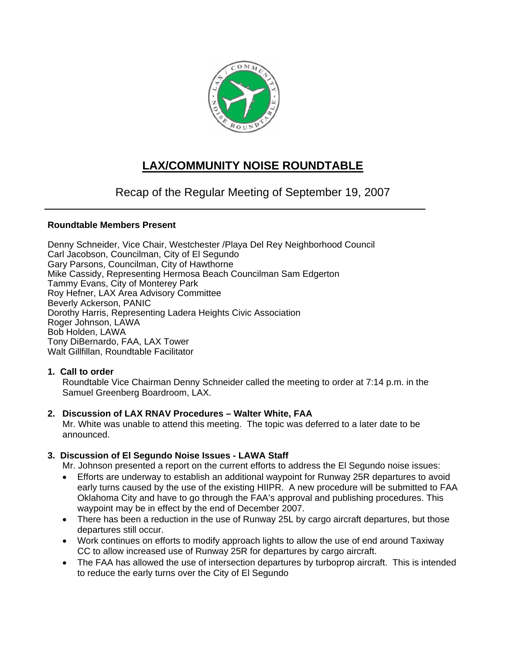

# **LAX/COMMUNITY NOISE ROUNDTABLE**

# Recap of the Regular Meeting of September 19, 2007

# **Roundtable Members Present**

Denny Schneider, Vice Chair, Westchester /Playa Del Rey Neighborhood Council Carl Jacobson, Councilman, City of El Segundo Gary Parsons, Councilman, City of Hawthorne Mike Cassidy, Representing Hermosa Beach Councilman Sam Edgerton Tammy Evans, City of Monterey Park Roy Hefner, LAX Area Advisory Committee Beverly Ackerson, PANIC Dorothy Harris, Representing Ladera Heights Civic Association Roger Johnson, LAWA Bob Holden, LAWA Tony DiBernardo, FAA, LAX Tower Walt Gillfillan, Roundtable Facilitator

#### **1. Call to order**

Roundtable Vice Chairman Denny Schneider called the meeting to order at 7:14 p.m. in the Samuel Greenberg Boardroom, LAX.

# **2. Discussion of LAX RNAV Procedures – Walter White, FAA**

Mr. White was unable to attend this meeting. The topic was deferred to a later date to be announced.

# **3. Discussion of El Segundo Noise Issues - LAWA Staff**

Mr. Johnson presented a report on the current efforts to address the El Segundo noise issues:

- Efforts are underway to establish an additional waypoint for Runway 25R departures to avoid early turns caused by the use of the existing HIIPR. A new procedure will be submitted to FAA Oklahoma City and have to go through the FAA's approval and publishing procedures. This waypoint may be in effect by the end of December 2007.
- There has been a reduction in the use of Runway 25L by cargo aircraft departures, but those departures still occur.
- Work continues on efforts to modify approach lights to allow the use of end around Taxiway CC to allow increased use of Runway 25R for departures by cargo aircraft.
- The FAA has allowed the use of intersection departures by turboprop aircraft. This is intended to reduce the early turns over the City of El Segundo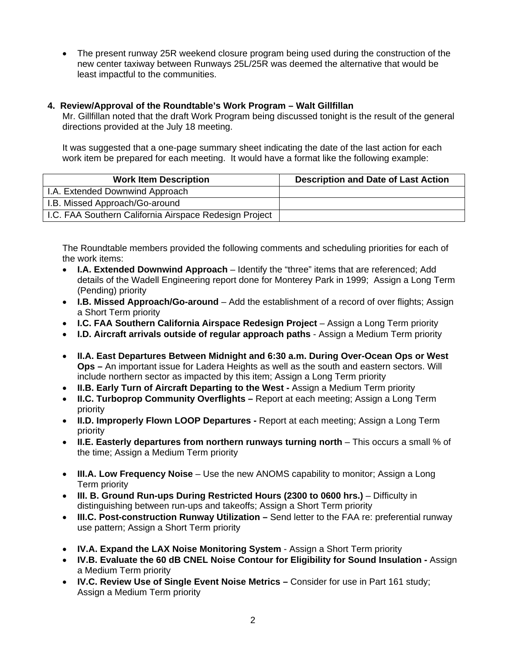• The present runway 25R weekend closure program being used during the construction of the new center taxiway between Runways 25L/25R was deemed the alternative that would be least impactful to the communities.

#### **4. Review/Approval of the Roundtable's Work Program – Walt Gillfillan**

Mr. Gillfillan noted that the draft Work Program being discussed tonight is the result of the general directions provided at the July 18 meeting.

It was suggested that a one-page summary sheet indicating the date of the last action for each work item be prepared for each meeting. It would have a format like the following example:

| <b>Work Item Description</b>                           | <b>Description and Date of Last Action</b> |
|--------------------------------------------------------|--------------------------------------------|
| I.A. Extended Downwind Approach                        |                                            |
| I.B. Missed Approach/Go-around                         |                                            |
| I.C. FAA Southern California Airspace Redesign Project |                                            |

The Roundtable members provided the following comments and scheduling priorities for each of the work items:

- **I.A. Extended Downwind Approach** Identify the "three" items that are referenced; Add details of the Wadell Engineering report done for Monterey Park in 1999; Assign a Long Term (Pending) priority
- **I.B. Missed Approach/Go-around** Add the establishment of a record of over flights; Assign a Short Term priority
- **I.C. FAA Southern California Airspace Redesign Project** Assign a Long Term priority
- **I.D. Aircraft arrivals outside of regular approach paths** Assign a Medium Term priority
- **II.A. East Departures Between Midnight and 6:30 a.m. During Over-Ocean Ops or West Ops –** An important issue for Ladera Heights as well as the south and eastern sectors. Will include northern sector as impacted by this item; Assign a Long Term priority
- **II.B. Early Turn of Aircraft Departing to the West** Assign a Medium Term priority
- **II.C. Turboprop Community Overflights** Report at each meeting; Assign a Long Term priority
- **II.D. Improperly Flown LOOP Departures** Report at each meeting; Assign a Long Term priority
- **II.E. Easterly departures from northern runways turning north** This occurs a small % of the time; Assign a Medium Term priority
- **III.A. Low Frequency Noise** Use the new ANOMS capability to monitor; Assign a Long Term priority
- **III. B. Ground Run-ups During Restricted Hours (2300 to 0600 hrs.)** Difficulty in distinguishing between run-ups and takeoffs; Assign a Short Term priority
- **III.C. Post-construction Runway Utilization** Send letter to the FAA re: preferential runway use pattern; Assign a Short Term priority
- **IV.A. Expand the LAX Noise Monitoring System** Assign a Short Term priority
- **IV.B. Evaluate the 60 dB CNEL Noise Contour for Eligibility for Sound Insulation** Assign a Medium Term priority
- **IV.C. Review Use of Single Event Noise Metrics** Consider for use in Part 161 study; Assign a Medium Term priority